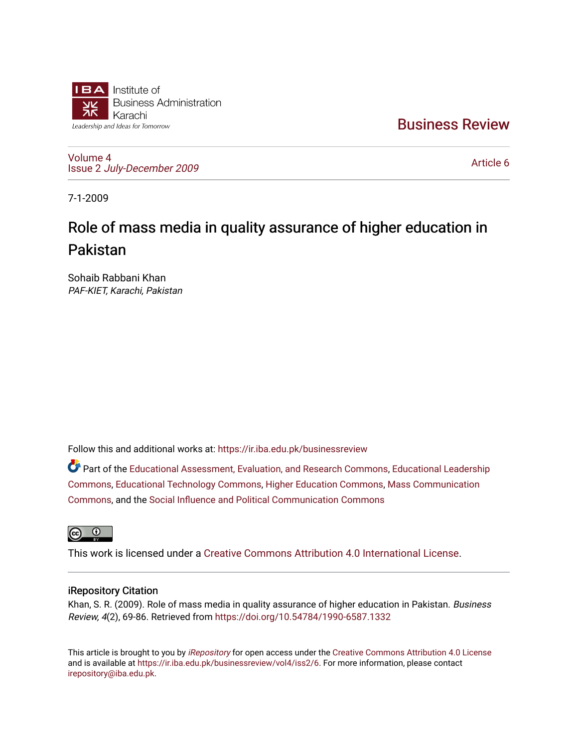

[Business Review](https://ir.iba.edu.pk/businessreview) 

[Volume 4](https://ir.iba.edu.pk/businessreview/vol4) Issue 2 [July-December 2009](https://ir.iba.edu.pk/businessreview/vol4/iss2)

[Article 6](https://ir.iba.edu.pk/businessreview/vol4/iss2/6) 

7-1-2009

# Role of mass media in quality assurance of higher education in Pakistan

Sohaib Rabbani Khan PAF-KIET, Karachi, Pakistan

Follow this and additional works at: [https://ir.iba.edu.pk/businessreview](https://ir.iba.edu.pk/businessreview?utm_source=ir.iba.edu.pk%2Fbusinessreview%2Fvol4%2Fiss2%2F6&utm_medium=PDF&utm_campaign=PDFCoverPages) 

Part of the [Educational Assessment, Evaluation, and Research Commons](http://network.bepress.com/hgg/discipline/796?utm_source=ir.iba.edu.pk%2Fbusinessreview%2Fvol4%2Fiss2%2F6&utm_medium=PDF&utm_campaign=PDFCoverPages), [Educational Leadership](http://network.bepress.com/hgg/discipline/1230?utm_source=ir.iba.edu.pk%2Fbusinessreview%2Fvol4%2Fiss2%2F6&utm_medium=PDF&utm_campaign=PDFCoverPages) [Commons](http://network.bepress.com/hgg/discipline/1230?utm_source=ir.iba.edu.pk%2Fbusinessreview%2Fvol4%2Fiss2%2F6&utm_medium=PDF&utm_campaign=PDFCoverPages), [Educational Technology Commons](http://network.bepress.com/hgg/discipline/1415?utm_source=ir.iba.edu.pk%2Fbusinessreview%2Fvol4%2Fiss2%2F6&utm_medium=PDF&utm_campaign=PDFCoverPages), [Higher Education Commons](http://network.bepress.com/hgg/discipline/1245?utm_source=ir.iba.edu.pk%2Fbusinessreview%2Fvol4%2Fiss2%2F6&utm_medium=PDF&utm_campaign=PDFCoverPages), [Mass Communication](http://network.bepress.com/hgg/discipline/334?utm_source=ir.iba.edu.pk%2Fbusinessreview%2Fvol4%2Fiss2%2F6&utm_medium=PDF&utm_campaign=PDFCoverPages) [Commons](http://network.bepress.com/hgg/discipline/334?utm_source=ir.iba.edu.pk%2Fbusinessreview%2Fvol4%2Fiss2%2F6&utm_medium=PDF&utm_campaign=PDFCoverPages), and the [Social Influence and Political Communication Commons](http://network.bepress.com/hgg/discipline/337?utm_source=ir.iba.edu.pk%2Fbusinessreview%2Fvol4%2Fiss2%2F6&utm_medium=PDF&utm_campaign=PDFCoverPages) 



This work is licensed under a [Creative Commons Attribution 4.0 International License](https://creativecommons.org/licenses/by/4.0/).

### iRepository Citation

Khan, S. R. (2009). Role of mass media in quality assurance of higher education in Pakistan. Business Review, 4(2), 69-86. Retrieved from <https://doi.org/10.54784/1990-6587.1332>

This article is brought to you by [iRepository](https://ir.iba.edu.pk/) for open access under the Creative Commons Attribution 4.0 License and is available at [https://ir.iba.edu.pk/businessreview/vol4/iss2/6.](https://ir.iba.edu.pk/businessreview/vol4/iss2/6) For more information, please contact [irepository@iba.edu.pk.](mailto:irepository@iba.edu.pk)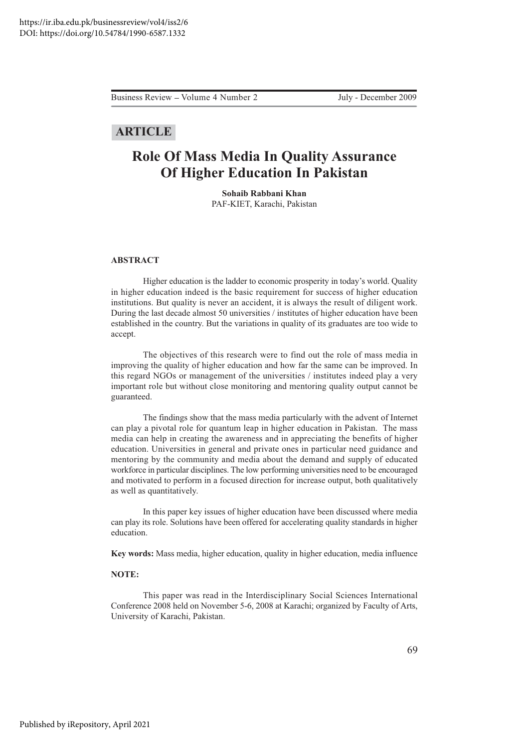Business Review – Volume 4 Number 2 July - December 2009

### **ARTICLE**

## **Role Of Mass Media In Quality Assurance Of Higher Education In Pakistan**

**Sohaib Rabbani Khan** PAF-KIET, Karachi, Pakistan

#### **ABSTRACT**

Higher education is the ladder to economic prosperity in today's world. Quality in higher education indeed is the basic requirement for success of higher education institutions. But quality is never an accident, it is always the result of diligent work. During the last decade almost 50 universities / institutes of higher education have been established in the country. But the variations in quality of its graduates are too wide to accept.

The objectives of this research were to find out the role of mass media in improving the quality of higher education and how far the same can be improved. In this regard NGOs or management of the universities / institutes indeed play a very important role but without close monitoring and mentoring quality output cannot be guaranteed.

The findings show that the mass media particularly with the advent of Internet can play a pivotal role for quantum leap in higher education in Pakistan. The mass media can help in creating the awareness and in appreciating the benefits of higher education. Universities in general and private ones in particular need guidance and mentoring by the community and media about the demand and supply of educated workforce in particular disciplines. The low performing universities need to be encouraged and motivated to perform in a focused direction for increase output, both qualitatively as well as quantitatively.

In this paper key issues of higher education have been discussed where media can play its role. Solutions have been offered for accelerating quality standards in higher education.

Key words: Mass media, higher education, quality in higher education, media influence

#### NOTE:

This paper was read in the Interdisciplinary Social Sciences International Conference 2008 held on November 5-6, 2008 at Karachi; organized by Faculty of Arts, University of Karachi, Pakistan.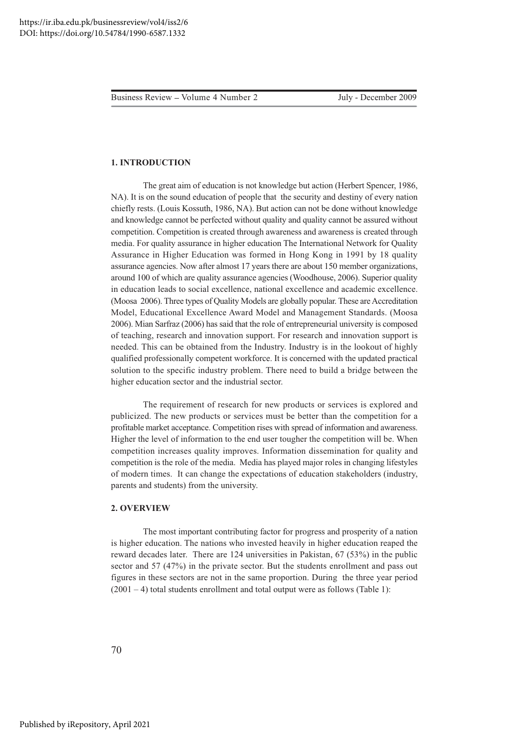#### **1. INTRODUCTION**

The great aim of education is not knowledge but action (Herbert Spencer, 1986, NA). It is on the sound education of people that the security and destiny of every nation chiefly rests. (Louis Kossuth, 1986, NA). But action can not be done without knowledge and knowledge cannot be perfected without quality and quality cannot be assured without competition. Competition is created through awareness and awareness is created through media. For quality assurance in higher education The International Network for Quality Assurance in Higher Education was formed in Hong Kong in 1991 by 18 quality assurance agencies. Now after almost 17 years there are about 150 member organizations, around 100 of which are quality assurance agencies (Woodhouse, 2006). Superior quality in education leads to social excellence, national excellence and academic excellence. (Moosa 2006). Three types of Quality Models are globally popular. These are Accreditation Model, Educational Excellence Award Model and Management Standards. (Moosa 2006). Mian Sarfraz (2006) has said that the role of entrepreneurial university is composed of teaching, research and innovation support. For research and innovation support is needed. This can be obtained from the Industry. Industry is in the lookout of highly qualified professionally competent workforce. It is concerned with the updated practical solution to the specific industry problem. There need to build a bridge between the higher education sector and the industrial sector.

The requirement of research for new products or services is explored and publicized. The new products or services must be better than the competition for a profitable market acceptance. Competition rises with spread of information and awareness. Higher the level of information to the end user tougher the competition will be. When competition increases quality improves. Information dissemination for quality and competition is the role of the media. Media has played major roles in changing lifestyles of modern times. It can change the expectations of education stakeholders (industry, parents and students) from the university.

#### 2. OVERVIEW

The most important contributing factor for progress and prosperity of a nation is higher education. The nations who invested heavily in higher education reaped the reward decades later. There are 124 universities in Pakistan, 67 (53%) in the public sector and 57 (47%) in the private sector. But the students enrollment and pass out figures in these sectors are not in the same proportion. During the three year period  $(2001 – 4)$  total students enrollment and total output were as follows (Table 1):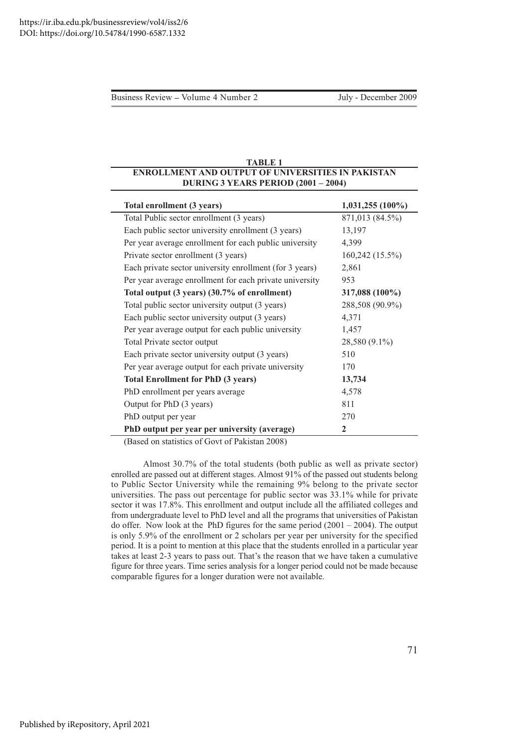#### <u>**TABLE 1**</u> **ENROLLMENT AND OUTPUT OF UNIVERSITIES IN PAKISTAN DURING 3 YEARS PERIOD (2001 – 2004)**

| Total enrollment (3 years)                              | 1,031,255 (100%)  |
|---------------------------------------------------------|-------------------|
| Total Public sector enrollment (3 years)                | 871,013 (84.5%)   |
| Each public sector university enrollment (3 years)      | 13,197            |
| Per year average enrollment for each public university  | 4,399             |
| Private sector enrollment (3 years)                     | $160,242(15.5\%)$ |
| Each private sector university enrollment (for 3 years) | 2,861             |
| Per year average enrollment for each private university | 953               |
| Total output (3 years) (30.7% of enrollment)            | 317,088 (100%)    |
| Total public sector university output (3 years)         | 288,508 (90.9%)   |
| Each public sector university output (3 years)          | 4,371             |
| Per year average output for each public university      | 1,457             |
| Total Private sector output                             | 28,580 (9.1%)     |
| Each private sector university output (3 years)         | 510               |
| Per year average output for each private university     | 170               |
| <b>Total Enrollment for PhD (3 years)</b>               | 13,734            |
| PhD enrollment per years average                        | 4,578             |
| Output for PhD (3 years)                                | 811               |
| PhD output per year                                     | 270               |
| PhD output per year per university (average)            | $\mathbf{2}$      |

(Based on statistics of Govt of Pakistan 2008)

Almost 30.7% of the total students (both public as well as private sector) enrolled are passed out at different stages. Almost 91% of the passed out students belong to Public Sector University while the remaining 9% belong to the private sector universities. The pass out percentage for public sector was 33.1% while for private sector it was 17.8%. This enrollment and output include all the affiliated colleges and from undergraduate level to PhD level and all the programs that universities of Pakistan do offer. Now look at the PhD figures for the same period  $(2001 - 2004)$ . The output is only 5.9% of the enrollment or 2 scholars per year per university for the specified period. It is a point to mention at this place that the students enrolled in a particular year takes at least 2-3 years to pass out. That's the reason that we have taken a cumulative figure for three years. Time series analysis for a longer period could not be made because comparable figures for a longer duration were not available.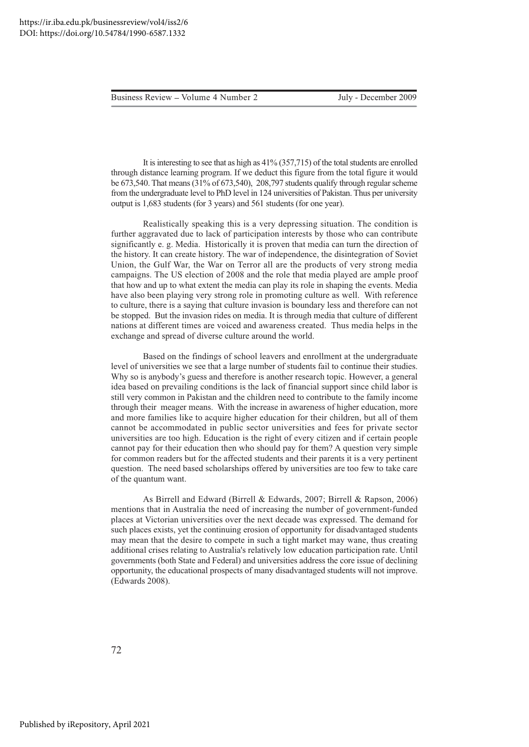It is interesting to see that as high as  $41\%$  (357,715) of the total students are enrolled through distance learning program. If we deduct this figure from the total figure it would be 673,540. That means (31% of 673,540), 208,797 students qualify through regular scheme from the undergraduate level to PhD level in 124 universities of Pakistan. Thus per university output is 1,683 students (for 3 years) and 561 students (for one year).

Realistically speaking this is a very depressing situation. The condition is further aggravated due to lack of participation interests by those who can contribute significantly e.g. Media. Historically it is proven that media can turn the direction of the history. It can create history. The war of independence, the disintegration of Soviet Union, the Gulf War, the War on Terror all are the products of very strong media campaigns. The US election of 2008 and the role that media played are ample proof that how and up to what extent the media can play its role in shaping the events. Media have also been playing very strong role in promoting culture as well. With reference to culture, there is a saying that culture invasion is boundary less and therefore can not be stopped. But the invasion rides on media. It is through media that culture of different nations at different times are voiced and awareness created. Thus media helps in the exchange and spread of diverse culture around the world.

Based on the findings of school leavers and enrollment at the undergraduate level of universities we see that a large number of students fail to continue their studies. Why so is anybody's guess and therefore is another research topic. However, a general idea based on prevailing conditions is the lack of financial support since child labor is still very common in Pakistan and the children need to contribute to the family income through their meager means. With the increase in awareness of higher education, more and more families like to acquire higher education for their children, but all of them cannot be accommodated in public sector universities and fees for private sector universities are too high. Education is the right of every citizen and if certain people cannot pay for their education then who should pay for them? A question very simple for common readers but for the affected students and their parents it is a very pertinent question. The need based scholarships offered by universities are too few to take care of the quantum want.

As Birrell and Edward (Birrell & Edwards, 2007; Birrell & Rapson, 2006) mentions that in Australia the need of increasing the number of government-funded places at Victorian universities over the next decade was expressed. The demand for such places exists, yet the continuing erosion of opportunity for disadvantaged students may mean that the desire to compete in such a tight market may wane, thus creating additional crises relating to Australia's relatively low education participation rate. Until governments (both State and Federal) and universities address the core issue of declining opportunity, the educational prospects of many disadvantaged students will not improve. (Edwards 2008).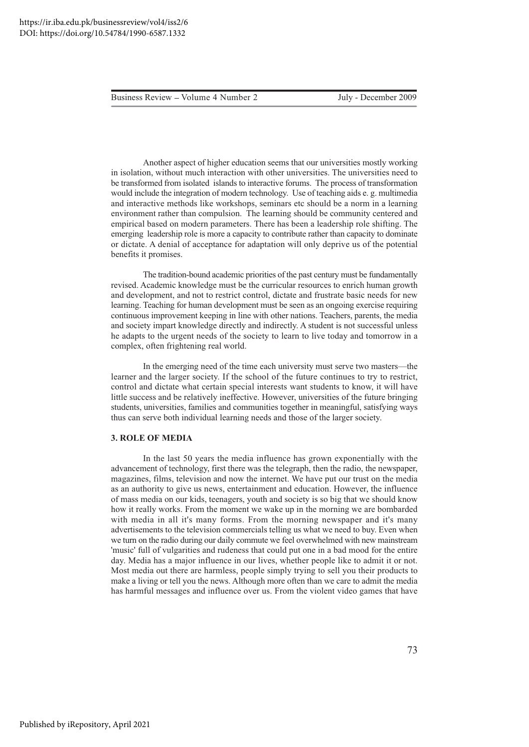July - December 2009

Another aspect of higher education seems that our universities mostly working in isolation, without much interaction with other universities. The universities need to be transformed from isolated islands to interactive forums. The process of transformation would include the integration of modern technology. Use of teaching aids e.g. multimedia and interactive methods like workshops, seminars etc should be a norm in a learning environment rather than compulsion. The learning should be community centered and empirical based on modern parameters. There has been a leadership role shifting. The emerging leadership role is more a capacity to contribute rather than capacity to dominate or dictate. A denial of acceptance for adaptation will only deprive us of the potential benefits it promises.

The tradition-bound academic priorities of the past century must be fundamentally revised. Academic knowledge must be the curricular resources to enrich human growth and development, and not to restrict control, dictate and frustrate basic needs for new learning. Teaching for human development must be seen as an ongoing exercise requiring continuous improvement keeping in line with other nations. Teachers, parents, the media and society impart knowledge directly and indirectly. A student is not successful unless he adapts to the urgent needs of the society to learn to live today and tomorrow in a complex, often frightening real world.

In the emerging need of the time each university must serve two masters—the learner and the larger society. If the school of the future continues to try to restrict, control and dictate what certain special interests want students to know, it will have little success and be relatively ineffective. However, universities of the future bringing students, universities, families and communities together in meaningful, satisfying ways thus can serve both individual learning needs and those of the larger society.

#### **3. ROLE OF MEDIA**

In the last 50 years the media influence has grown exponentially with the advancement of technology, first there was the telegraph, then the radio, the newspaper, magazines, films, television and now the internet. We have put our trust on the media as an authority to give us news, entertainment and education. However, the influence of mass media on our kids, teenagers, youth and society is so big that we should know how it really works. From the moment we wake up in the morning we are bombarded with media in all it's many forms. From the morning newspaper and it's many advertisements to the television commercials telling us what we need to buy. Even when we turn on the radio during our daily commute we feel overwhelmed with new mainstream 'music' full of vulgarities and rudeness that could put one in a bad mood for the entire day. Media has a major influence in our lives, whether people like to admit it or not. Most media out there are harmless, people simply trying to sell you their products to make a living or tell you the news. Although more often than we care to admit the media has harmful messages and influence over us. From the violent video games that have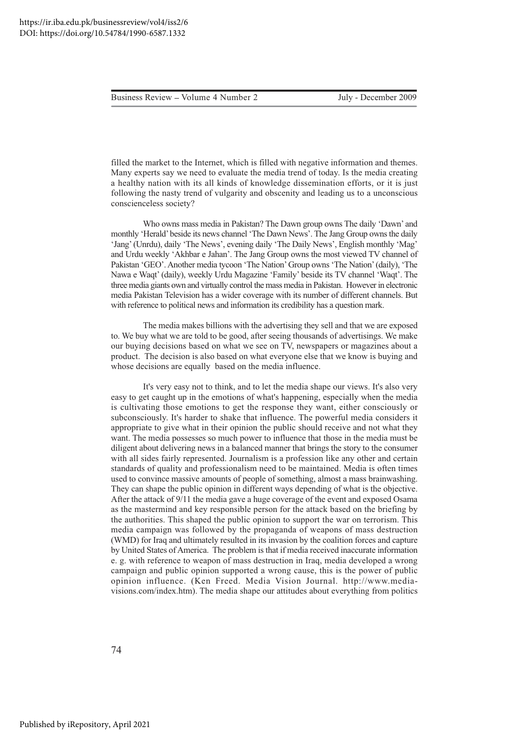Business Review – Volume 4 Number 2 July - December 2009

filled the market to the Internet, which is filled with negative information and themes. Many experts say we need to evaluate the media trend of today. Is the media creating a healthy nation with its all kinds of knowledge dissemination efforts, or it is just following the nasty trend of vulgarity and obscenity and leading us to a unconscious conscienceless society?

Who owns mass media in Pakistan? The Dawn group owns The daily 'Dawn' and monthly 'Herald' beside its news channel 'The Dawn News'. The Jang Group owns the daily 'Jang' (Unrdu), daily 'The News', evening daily 'The Daily News', English monthly 'Mag' and Urdu weekly 'Akhbar e Jahan'. The Jang Group owns the most viewed TV channel of Pakistan 'GEO'. Another media tycoon 'The Nation' Group owns 'The Nation' (daily), 'The Nawa e Waqt' (daily), weekly Urdu Magazine 'Family' beside its TV channel 'Waqt'. The three media giants own and virtually control the mass media in Pakistan. However in electronic media Pakistan Television has a wider coverage with its number of different channels. But with reference to political news and information its credibility has a question mark.

The media makes billions with the advertising they sell and that we are exposed to. We buy what we are told to be good, after seeing thousands of advertisings. We make our buying decisions based on what we see on TV, newspapers or magazines about a product. The decision is also based on what everyone else that we know is buying and whose decisions are equally based on the media influence.

It's very easy not to think, and to let the media shape our views. It's also very easy to get caught up in the emotions of what's happening, especially when the media is cultivating those emotions to get the response they want, either consciously or subconsciously. It's harder to shake that influence. The powerful media considers it appropriate to give what in their opinion the public should receive and not what they want. The media possesses so much power to influence that those in the media must be diligent about delivering news in a balanced manner that brings the story to the consumer with all sides fairly represented. Journalism is a profession like any other and certain standards of quality and professionalism need to be maintained. Media is often times used to convince massive amounts of people of something, almost a mass brainwashing. They can shape the public opinion in different ways depending of what is the objective. After the attack of 9/11 the media gave a huge coverage of the event and exposed Osama as the mastermind and key responsible person for the attack based on the briefing by the authorities. This shaped the public opinion to support the war on terrorism. This media campaign was followed by the propaganda of weapons of mass destruction (WMD) for Iraq and ultimately resulted in its invasion by the coalition forces and capture by United States of America. The problem is that if media received inaccurate information e. g. with reference to weapon of mass destruction in Iraq, media developed a wrong campaign and public opinion supported a wrong cause, this is the power of public opinion influence. (Ken Freed. Media Vision Journal. http://www.mediavisions.com/index.htm). The media shape our attitudes about everything from politics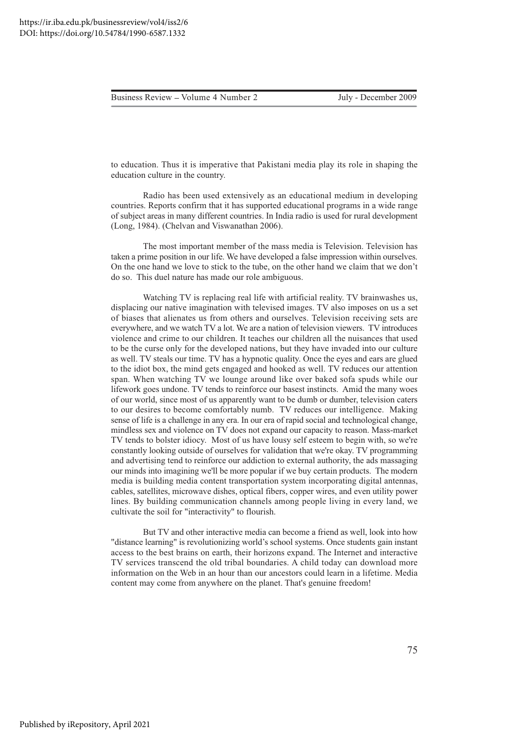July - December 2009

to education. Thus it is imperative that Pakistani media play its role in shaping the education culture in the country.

Radio has been used extensively as an educational medium in developing countries. Reports confirm that it has supported educational programs in a wide range of subject areas in many different countries. In India radio is used for rural development (Long, 1984). (Chelvan and Viswanathan 2006).

The most important member of the mass media is Television. Television has taken a prime position in our life. We have developed a false impression within ourselves. On the one hand we love to stick to the tube, on the other hand we claim that we don't do so. This duel nature has made our role ambiguous.

Watching TV is replacing real life with artificial reality. TV brainwashes us, displacing our native imagination with televised images. TV also imposes on us a set of biases that alienates us from others and ourselves. Television receiving sets are everywhere, and we watch TV a lot. We are a nation of television viewers. TV introduces violence and crime to our children. It teaches our children all the nuisances that used to be the curse only for the developed nations, but they have invaded into our culture as well. TV steals our time. TV has a hypnotic quality. Once the eyes and ears are glued to the idiot box, the mind gets engaged and hooked as well. TV reduces our attention span. When watching TV we lounge around like over baked sofa spuds while our lifework goes undone. TV tends to reinforce our basest instincts. Amid the many woes of our world, since most of us apparently want to be dumb or dumber, television caters to our desires to become comfortably numb. TV reduces our intelligence. Making sense of life is a challenge in any era. In our era of rapid social and technological change, mindless sex and violence on TV does not expand our capacity to reason. Mass-market TV tends to bolster idiocy. Most of us have lousy self esteem to begin with, so we're constantly looking outside of ourselves for validation that we're okay. TV programming and advertising tend to reinforce our addiction to external authority, the ads massaging our minds into imagining we'll be more popular if we buy certain products. The modern media is building media content transportation system incorporating digital antennas, cables, satellites, microwave dishes, optical fibers, copper wires, and even utility power lines. By building communication channels among people living in every land, we cultivate the soil for "interactivity" to flourish.

But TV and other interactive media can become a friend as well, look into how "distance learning" is revolutionizing world's school systems. Once students gain instant access to the best brains on earth, their horizons expand. The Internet and interactive TV services transcend the old tribal boundaries. A child today can download more information on the Web in an hour than our ancestors could learn in a lifetime. Media content may come from anywhere on the planet. That's genuine freedom!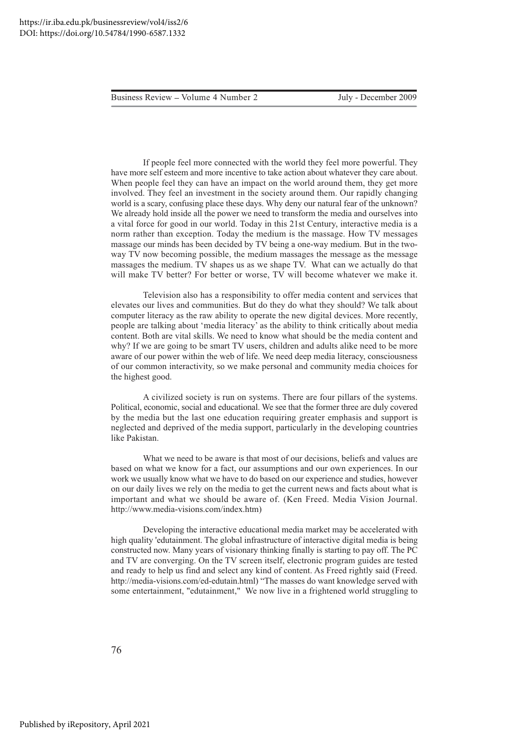July - December 2009

If people feel more connected with the world they feel more powerful. They have more self esteem and more incentive to take action about whatever they care about. When people feel they can have an impact on the world around them, they get more involved. They feel an investment in the society around them. Our rapidly changing world is a scary, confusing place these days. Why deny our natural fear of the unknown? We already hold inside all the power we need to transform the media and ourselves into a vital force for good in our world. Today in this 21st Century, interactive media is a norm rather than exception. Today the medium is the massage. How TV messages massage our minds has been decided by TV being a one-way medium. But in the twoway TV now becoming possible, the medium massages the message as the message massages the medium. TV shapes us as we shape TV. What can we actually do that will make TV better? For better or worse, TV will become whatever we make it.

Television also has a responsibility to offer media content and services that elevates our lives and communities. But do they do what they should? We talk about computer literacy as the raw ability to operate the new digital devices. More recently, people are talking about 'media literacy' as the ability to think critically about media content. Both are vital skills. We need to know what should be the media content and why? If we are going to be smart TV users, children and adults alike need to be more aware of our power within the web of life. We need deep media literacy, consciousness of our common interactivity, so we make personal and community media choices for the highest good.

A civilized society is run on systems. There are four pillars of the systems. Political, economic, social and educational. We see that the former three are duly covered by the media but the last one education requiring greater emphasis and support is neglected and deprived of the media support, particularly in the developing countries like Pakistan.

What we need to be aware is that most of our decisions, beliefs and values are based on what we know for a fact, our assumptions and our own experiences. In our work we usually know what we have to do based on our experience and studies, however on our daily lives we rely on the media to get the current news and facts about what is important and what we should be aware of. (Ken Freed. Media Vision Journal. http://www.media-visions.com/index.htm)

Developing the interactive educational media market may be accelerated with high quality 'edutainment. The global infrastructure of interactive digital media is being constructed now. Many years of visionary thinking finally is starting to pay off. The PC and TV are converging. On the TV screen itself, electronic program guides are tested and ready to help us find and select any kind of content. As Freed rightly said (Freed. http://media-visions.com/ed-edutain.html) "The masses do want knowledge served with some entertainment, "edutainment," We now live in a frightened world struggling to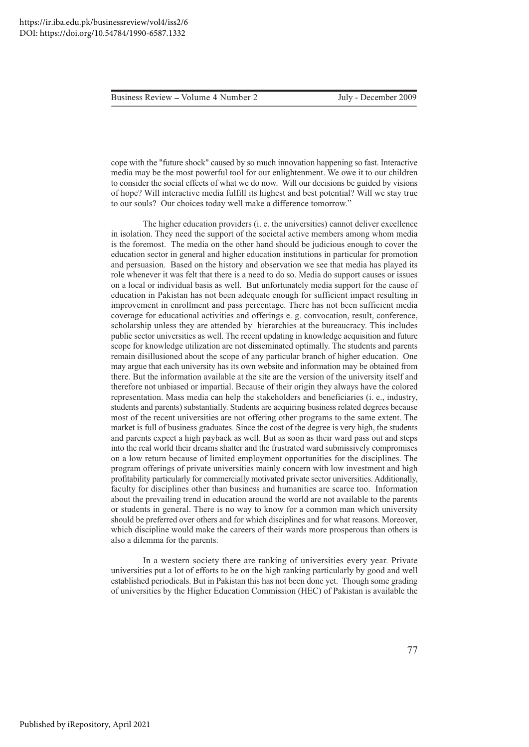cope with the "future shock" caused by so much innovation happening so fast. Interactive media may be the most powerful tool for our enlightenment. We owe it to our children to consider the social effects of what we do now. Will our decisions be guided by visions of hope? Will interactive media fulfill its highest and best potential? Will we stay true to our souls? Our choices today well make a difference tomorrow."

The higher education providers (i. e. the universities) cannot deliver excellence in isolation. They need the support of the societal active members among whom media is the foremost. The media on the other hand should be judicious enough to cover the education sector in general and higher education institutions in particular for promotion and persuasion. Based on the history and observation we see that media has played its role whenever it was felt that there is a need to do so. Media do support causes or issues on a local or individual basis as well. But unfortunately media support for the cause of education in Pakistan has not been adequate enough for sufficient impact resulting in improvement in enrollment and pass percentage. There has not been sufficient media coverage for educational activities and offerings e. g. convocation, result, conference, scholarship unless they are attended by hierarchies at the bureaucracy. This includes public sector universities as well. The recent updating in knowledge acquisition and future scope for knowledge utilization are not disseminated optimally. The students and parents remain disillusioned about the scope of any particular branch of higher education. One may argue that each university has its own website and information may be obtained from there. But the information available at the site are the version of the university itself and therefore not unbiased or impartial. Because of their origin they always have the colored representation. Mass media can help the stakeholders and beneficiaries (i. e., industry, students and parents) substantially. Students are acquiring business related degrees because most of the recent universities are not offering other programs to the same extent. The market is full of business graduates. Since the cost of the degree is very high, the students and parents expect a high payback as well. But as soon as their ward pass out and steps into the real world their dreams shatter and the frustrated ward submissively compromises on a low return because of limited employment opportunities for the disciplines. The program offerings of private universities mainly concern with low investment and high profitability particularly for commercially motivated private sector universities. Additionally, faculty for disciplines other than business and humanities are scarce too. Information about the prevailing trend in education around the world are not available to the parents or students in general. There is no way to know for a common man which university should be preferred over others and for which disciplines and for what reasons. Moreover, which discipline would make the careers of their wards more prosperous than others is also a dilemma for the parents.

In a western society there are ranking of universities every year. Private universities put a lot of efforts to be on the high ranking particularly by good and well established periodicals. But in Pakistan this has not been done yet. Though some grading of universities by the Higher Education Commission (HEC) of Pakistan is available the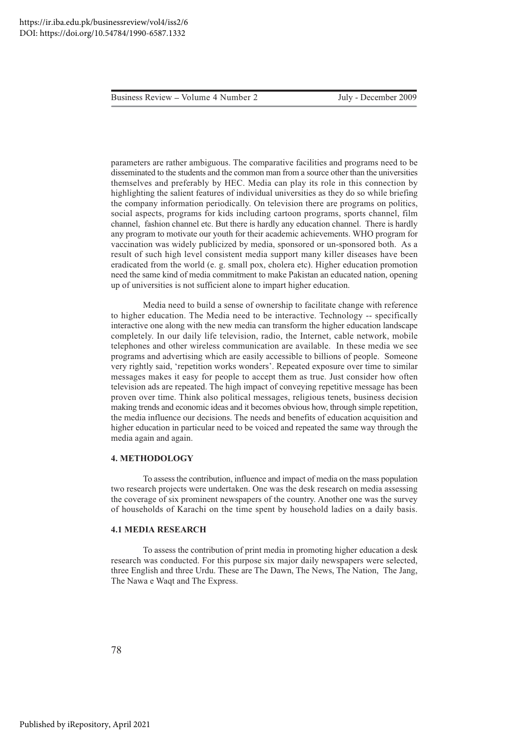July - December 2009

parameters are rather ambiguous. The comparative facilities and programs need to be disseminated to the students and the common man from a source other than the universities themselves and preferably by HEC. Media can play its role in this connection by highlighting the salient features of individual universities as they do so while briefing the company information periodically. On television there are programs on politics, social aspects, programs for kids including cartoon programs, sports channel, film channel, fashion channel etc. But there is hardly any education channel. There is hardly any program to motivate our youth for their academic achievements. WHO program for vaccination was widely publicized by media, sponsored or un-sponsored both. As a result of such high level consistent media support many killer diseases have been eradicated from the world (e. g. small pox, cholera etc). Higher education promotion need the same kind of media commitment to make Pakistan an educated nation, opening up of universities is not sufficient alone to impart higher education.

Media need to build a sense of ownership to facilitate change with reference to higher education. The Media need to be interactive. Technology -- specifically interactive one along with the new media can transform the higher education landscape completely. In our daily life television, radio, the Internet, cable network, mobile telephones and other wireless communication are available. In these media we see programs and advertising which are easily accessible to billions of people. Someone very rightly said, 'repetition works wonders'. Repeated exposure over time to similar messages makes it easy for people to accept them as true. Just consider how often television ads are repeated. The high impact of conveying repetitive message has been proven over time. Think also political messages, religious tenets, business decision making trends and economic ideas and it becomes obvious how, through simple repetition, the media influence our decisions. The needs and benefits of education acquisition and higher education in particular need to be voiced and repeated the same way through the media again and again.

#### **4. METHODOLOGY**

To assess the contribution, influence and impact of media on the mass population two research projects were undertaken. One was the desk research on media assessing the coverage of six prominent newspapers of the country. Another one was the survey of households of Karachi on the time spent by household ladies on a daily basis.

#### **4.1 MEDIA RESEARCH**

To assess the contribution of print media in promoting higher education a desk research was conducted. For this purpose six major daily newspapers were selected, three English and three Urdu. These are The Dawn, The News, The Nation, The Jang, The Nawa e Waqt and The Express.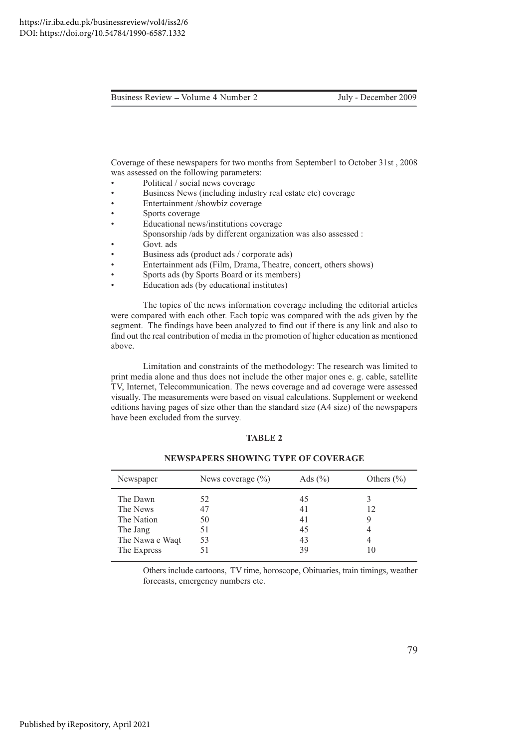Coverage of these newspapers for two months from September1 to October 31st, 2008 was assessed on the following parameters:

- Political / social news coverage  $\bullet$
- Business News (including industry real estate etc) coverage
- Entertainment /showbiz coverage
- Sports coverage
- Educational news/institutions coverage
- Sponsorship /ads by different organization was also assessed :
- Govt. ads
- Business ads (product ads / corporate ads)
- Entertainment ads (Film, Drama, Theatre, concert, others shows)
- Sports ads (by Sports Board or its members)
- Education ads (by educational institutes)

The topics of the news information coverage including the editorial articles were compared with each other. Each topic was compared with the ads given by the segment. The findings have been analyzed to find out if there is any link and also to find out the real contribution of media in the promotion of higher education as mentioned above.

Limitation and constraints of the methodology: The research was limited to print media alone and thus does not include the other major ones e. g. cable, satellite TV, Internet, Telecommunication. The news coverage and ad coverage were assessed visually. The measurements were based on visual calculations. Supplement or weekend editions having pages of size other than the standard size (A4 size) of the newspapers have been excluded from the survey.

#### **TABLE 2**

| Newspaper       | News coverage $(\% )$ | Ads $(\% )$ | Others $(\% )$ |
|-----------------|-----------------------|-------------|----------------|
| The Dawn        | 52                    | 45          | 12             |
| The News        | 47                    | 41          |                |
| The Nation      | 50                    | 41          |                |
| The Jang        | 51                    | 45          | 4              |
| The Nawa e Waqt | 53                    | 43          | 4              |
| The Express     | 51                    | 39          | 10             |

**NEWSPAPERS SHOWING TYPE OF COVERAGE** 

Others include cartoons, TV time, horoscope, Obituaries, train timings, weather forecasts, emergency numbers etc.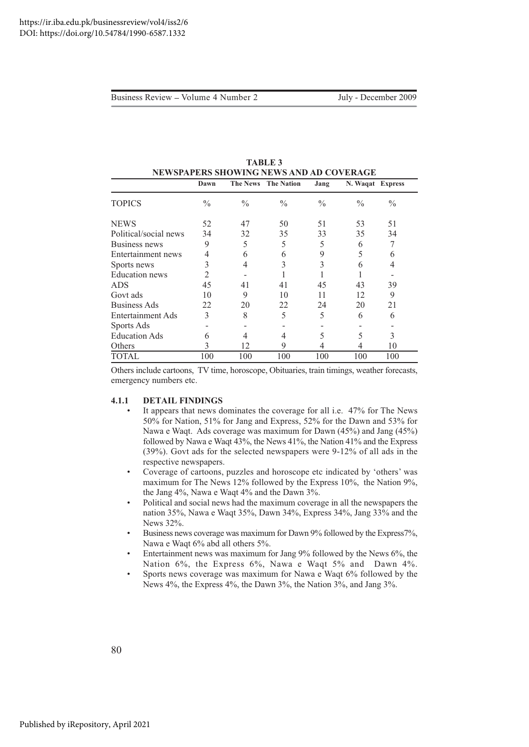| NEWSPAPERS SHOWING NEWS AND AD COVERAGE |               |                 |                   |               |                  |               |  |
|-----------------------------------------|---------------|-----------------|-------------------|---------------|------------------|---------------|--|
|                                         | Dawn          | <b>The News</b> | <b>The Nation</b> | Jang          | N. Waqat Express |               |  |
| <b>TOPICS</b>                           | $\frac{0}{0}$ | $\frac{0}{0}$   | $\frac{0}{0}$     | $\frac{0}{0}$ | $\frac{0}{0}$    | $\frac{0}{0}$ |  |
| <b>NEWS</b>                             | 52            | 47              | 50                | 51            | 53               | 51            |  |
| Political/social news                   | 34            | 32              | 35                | 33            | 35               | 34            |  |
| Business news                           | 9             | 5               | 5                 | 5             | 6                | 7             |  |
| Entertainment news                      | 4             | 6               | 6                 | 9             | 5                | 6             |  |
| Sports news                             | 3             | 4               | 3                 | 3             | 6                | 4             |  |
| <b>Education</b> news                   | 2             |                 |                   |               |                  |               |  |
| ADS                                     | 45            | 41              | 41                | 45            | 43               | 39            |  |
| Govt ads                                | 10            | 9               | 10                | 11            | 12               | 9             |  |
| Business Ads                            | 22            | 20              | 22                | 24            | 20               | 21            |  |
| Entertainment Ads                       | 3             | 8               | 5                 | 5             | 6                | 6             |  |
| Sports Ads                              |               |                 |                   |               |                  |               |  |
| <b>Education Ads</b>                    | 6             |                 | 4                 | 5             | 5                | 3             |  |
| Others                                  | 3             | 12              | 9                 | 4             |                  | 10            |  |
| TOTAL                                   | 100           | 100             | 100               | 100           | 100              | 100           |  |

**TABLE 3** 

Others include cartoons, TV time, horoscope, Obituaries, train timings, weather forecasts, emergency numbers etc.

#### $4.1.1$ **DETAIL FINDINGS**

- It appears that news dominates the coverage for all i.e. 47% for The News 50% for Nation, 51% for Jang and Express, 52% for the Dawn and 53% for Nawa e Waqt. Ads coverage was maximum for Dawn (45%) and Jang (45%) followed by Nawa e Waqt 43%, the News 41%, the Nation 41% and the Express (39%). Govt ads for the selected newspapers were 9-12% of all ads in the respective newspapers.
- Coverage of cartoons, puzzles and horoscope etc indicated by 'others' was maximum for The News 12% followed by the Express 10%, the Nation 9%, the Jang  $4\%$ , Nawa e Waqt  $4\%$  and the Dawn  $3\%$ .
- Political and social news had the maximum coverage in all the newspapers the nation 35%, Nawa e Waqt 35%, Dawn 34%, Express 34%, Jang 33% and the News 32%.
- Business news coverage was maximum for Dawn 9% followed by the Express7%, Nawa e Waqt 6% abd all others 5%.
- Entertainment news was maximum for Jang 9% followed by the News 6%, the Nation 6%, the Express 6%, Nawa e Waqt 5% and Dawn 4%.
- Sports news coverage was maximum for Nawa e Waqt 6% followed by the News 4%, the Express 4%, the Dawn 3%, the Nation 3%, and Jang 3%.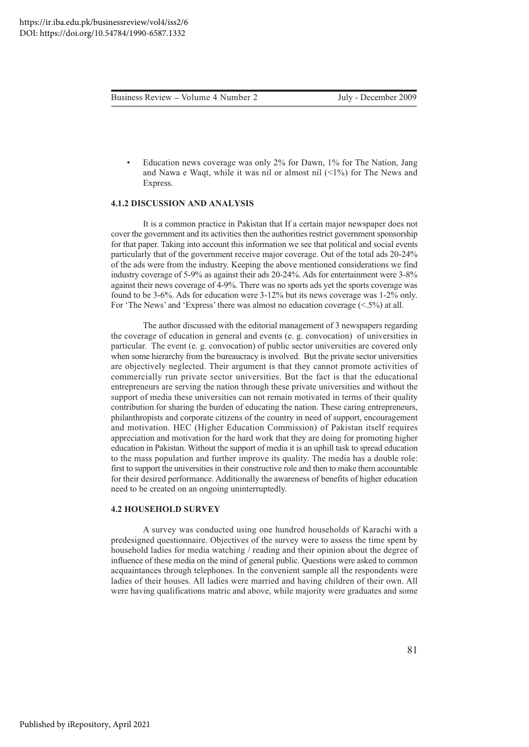Education news coverage was only 2% for Dawn, 1% for The Nation, Jang and Nawa e Waqt, while it was nil or almost nil  $(\leq 1\%)$  for The News and Express.

#### **4.1.2 DISCUSSION AND ANALYSIS**

It is a common practice in Pakistan that If a certain major newspaper does not cover the government and its activities then the authorities restrict government sponsorship for that paper. Taking into account this information we see that political and social events particularly that of the government receive major coverage. Out of the total ads 20-24% of the ads were from the industry. Keeping the above mentioned considerations we find industry coverage of 5-9% as against their ads 20-24%. Ads for entertainment were 3-8% against their news coverage of 4-9%. There was no sports ads yet the sports coverage was found to be 3-6%. Ads for education were 3-12% but its news coverage was 1-2% only. For 'The News' and 'Express' there was almost no education coverage  $(\leq 5\%)$  at all.

The author discussed with the editorial management of 3 newspapers regarding the coverage of education in general and events (e.g. convocation) of universities in particular. The event (e.g. convocation) of public sector universities are covered only when some hierarchy from the bureaucracy is involved. But the private sector universities are objectively neglected. Their argument is that they cannot promote activities of commercially run private sector universities. But the fact is that the educational entrepreneurs are serving the nation through these private universities and without the support of media these universities can not remain motivated in terms of their quality contribution for sharing the burden of educating the nation. These caring entrepreneurs, philanthropists and corporate citizens of the country in need of support, encouragement and motivation. HEC (Higher Education Commission) of Pakistan itself requires appreciation and motivation for the hard work that they are doing for promoting higher education in Pakistan. Without the support of media it is an uphill task to spread education to the mass population and further improve its quality. The media has a double role: first to support the universities in their constructive role and then to make them accountable for their desired performance. Additionally the awareness of benefits of higher education need to be created on an ongoing uninterruptedly.

#### **4.2 HOUSEHOLD SURVEY**

A survey was conducted using one hundred households of Karachi with a predesigned questionnaire. Objectives of the survey were to assess the time spent by household ladies for media watching / reading and their opinion about the degree of influence of these media on the mind of general public. Ouestions were asked to common acquaintances through telephones. In the convenient sample all the respondents were ladies of their houses. All ladies were married and having children of their own. All were having qualifications matric and above, while majority were graduates and some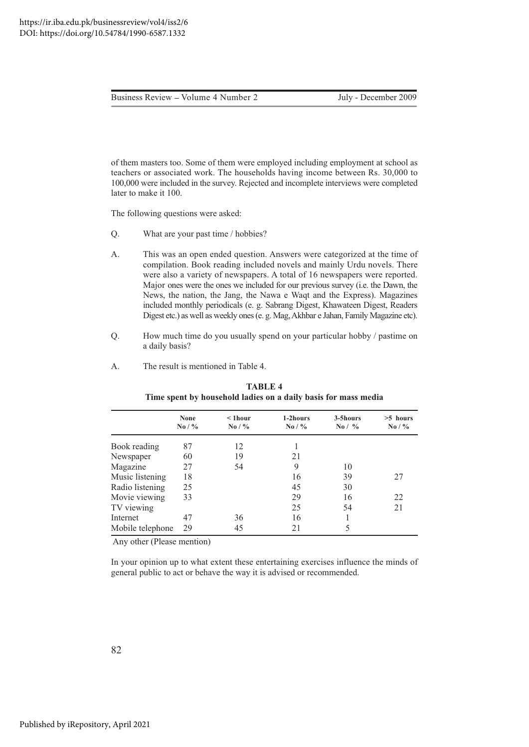July - December 2009

of them masters too. Some of them were employed including employment at school as teachers or associated work. The households having income between Rs. 30,000 to 100,000 were included in the survey. Rejected and incomplete interviews were completed later to make it 100.

The following questions were asked:

- O. What are your past time / hobbies?
- $A<sub>1</sub>$ This was an open ended question. Answers were categorized at the time of compilation. Book reading included novels and mainly Urdu novels. There were also a variety of newspapers. A total of 16 newspapers were reported. Major ones were the ones we included for our previous survey (i.e. the Dawn, the News, the nation, the Jang, the Nawa e Waqt and the Express). Magazines included monthly periodicals (e. g. Sabrang Digest, Khawateen Digest, Readers Digest etc.) as well as weekly ones (e. g. Mag, Akhbar e Jahan, Family Magazine etc).
- O. How much time do you usually spend on your particular hobby / pastime on a daily basis?
- The result is mentioned in Table 4.  $\mathsf{A}$ .

|                  | None      | $<$ 1 hour        | 1-2hours          | 3-5hours          | $>5$ hours        |
|------------------|-----------|-------------------|-------------------|-------------------|-------------------|
|                  | No / $\%$ | $\mathrm{No}$ / % | $\mathrm{No}$ / % | $\mathrm{No}$ / % | $\mathrm{No}$ / % |
| Book reading     | 87        | 12                |                   |                   |                   |
| Newspaper        | 60        | 19                | 21                |                   |                   |
| Magazine         | 27        | 54                | 9                 | 10                |                   |
| Music listening  | 18        |                   | 16                | 39                | 27                |
| Radio listening  | 25        |                   | 45                | 30                |                   |
| Movie viewing    | 33        |                   | 29                | 16                | 22                |
| TV viewing       |           |                   | 25                | 54                | 21                |
| Internet         | 47        | 36                | 16                |                   |                   |
| Mobile telephone | 29        | 45                | 21                | 5                 |                   |

TABLE 4 Time spent by household ladies on a daily basis for mass media

Any other (Please mention)

In your opinion up to what extent these entertaining exercises influence the minds of general public to act or behave the way it is advised or recommended.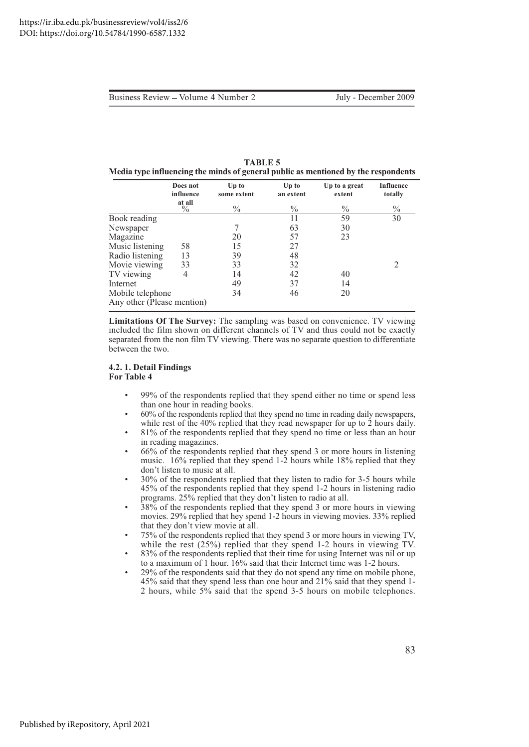| <b>TABLE 5</b>                                                                     |
|------------------------------------------------------------------------------------|
| Media type influencing the minds of general public as mentioned by the respondents |

|                                                | Does not<br>influence   | $Up$ to<br>some extent | $Up$ to<br>an extent | Up to a great<br>extent | <b>Influence</b><br>totally |
|------------------------------------------------|-------------------------|------------------------|----------------------|-------------------------|-----------------------------|
|                                                | at all<br>$\frac{0}{0}$ | $\frac{0}{0}$          | $\%$                 | $\frac{0}{0}$           | $\frac{0}{0}$               |
| <b>Book</b> reading                            |                         |                        | 11                   | 59                      | 30                          |
| Newspaper                                      |                         |                        | 63                   | 30                      |                             |
| Magazine                                       |                         | 20                     | 57                   | 23                      |                             |
| Music listening                                | 58                      | 15                     | 27                   |                         |                             |
| Radio listening                                | 13                      | 39                     | 48                   |                         |                             |
| Movie viewing                                  | 33                      | 33                     | 32                   |                         |                             |
| TV viewing                                     | 4                       | 14                     | 42                   | 40                      |                             |
| Internet                                       |                         | 49                     | 37                   | 14                      |                             |
| Mobile telephone<br>Any other (Please mention) |                         | 34                     | 46                   | 20                      |                             |

**Limitations Of The Survey:** The sampling was based on convenience. TV viewing included the film shown on different channels of TV and thus could not be exactly separated from the non film TV viewing. There was no separate question to differentiate between the two.

#### **4.2.1. Detail Findings For Table 4**

- 99% of the respondents replied that they spend either no time or spend less than one hour in reading books.
- 60% of the respondents replied that they spend no time in reading daily newspapers, while rest of the 40% replied that they read newspaper for up to 2 hours daily.
- 81% of the respondents replied that they spend no time or less than an hour in reading magazines.
- 66% of the respondents replied that they spend 3 or more hours in listening music. 16% replied that they spend 1-2 hours while 18% replied that they don't listen to music at all.
- 30% of the respondents replied that they listen to radio for 3-5 hours while 45% of the respondents replied that they spend 1-2 hours in listening radio programs. 25% replied that they don't listen to radio at all.
- 38% of the respondents replied that they spend 3 or more hours in viewing movies. 29% replied that hey spend 1-2 hours in viewing movies. 33% replied that they don't view movie at all.
- 75% of the respondents replied that they spend 3 or more hours in viewing TV, while the rest  $(25%)$  replied that they spend 1-2 hours in viewing TV.
- 83% of the respondents replied that their time for using Internet was nil or up to a maximum of 1 hour. 16% said that their Internet time was 1-2 hours.
- 29% of the respondents said that they do not spend any time on mobile phone, 45% said that they spend less than one hour and 21% said that they spend 1-2 hours, while 5% said that the spend 3-5 hours on mobile telephones.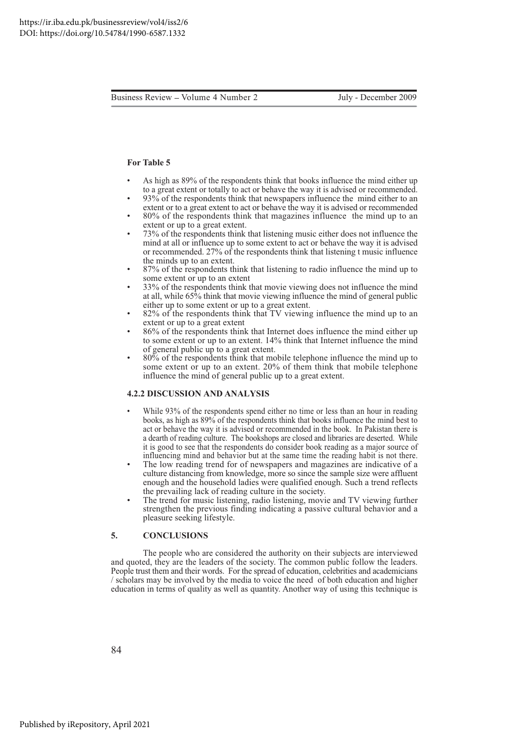#### **For Table 5**

- As high as 89% of the respondents think that books influence the mind either up to a great extent or totally to act or behave the way it is advised or recommended.
- 93% of the respondents think that newspapers influence the mind either to an extent or to a great extent to act or behave the way it is advised or recommended
- 80% of the respondents think that magazines influence the mind up to an extent or up to a great extent.
- 73% of the respondents think that listening music either does not influence the mind at all or influence up to some extent to act or behave the way it is advised or recommended. 27% of the respondents think that listening t music influence the minds up to an extent.
- 87% of the respondents think that listening to radio influence the mind up to some extent or up to an extent
- 33% of the respondents think that movie viewing does not influence the mind at all, while 65% think that movie viewing influence the mind of general public either up to some extent or up to a great extent.
- 82% of the respondents think that TV viewing influence the mind up to an extent or up to a great extent
- 86% of the respondents think that Internet does influence the mind either up to some extent or up to an extent. 14% think that Internet influence the mind of general public up to a great extent.
- 80% of the respondents think that mobile telephone influence the mind up to some extent or up to an extent. 20% of them think that mobile telephone influence the mind of general public up to a great extent.

#### **4.2.2 DISCUSSION AND ANALYSIS**

- While 93% of the respondents spend either no time or less than an hour in reading books, as high as 89% of the respondents think that books influence the mind best to act or behave the way it is advised or recommended in the book. In Pakistan there is a dearth of reading culture. The bookshops are closed and libraries are deserted. While it is good to see that the respondents do consider book reading as a major source of influencing mind and behavior but at the same time the reading habit is not there.
- The low reading trend for of newspapers and magazines are indicative of a culture distancing from knowledge, more so since the sample size were affluent enough and the household ladies were qualified enough. Such a trend reflects the prevailing lack of reading culture in the society.
- The trend for music listening, radio listening, movie and TV viewing further strengthen the previous finding indicating a passive cultural behavior and a pleasure seeking lifestyle.

#### **5.** CONCLUSIONS

The people who are considered the authority on their subjects are interviewed and quoted, they are the leaders of the society. The common public follow the leaders. People trust them and their words. For the spread of education, celebrities and academicians  $\ell$  scholars may be involved by the media to voice the need of both education and higher education in terms of quality as well as quantity. Another way of using this technique is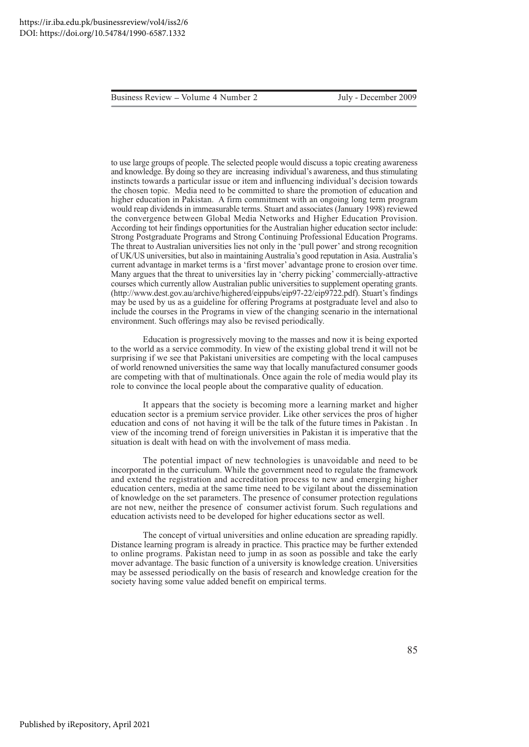July - December 2009

to use large groups of people. The selected people would discuss a topic creating awareness and knowledge. By doing so they are increasing individual's awareness, and thus stimulating instincts towards a particular issue or item and influencing individual's decision towards the chosen topic. Media need to be committed to share the promotion of education and higher education in Pakistan. A firm commitment with an ongoing long term program would reap dividends in immeasurable terms. Stuart and associates (January 1998) reviewed the convergence between Global Media Networks and Higher Education Provision. According tot heir findings opportunities for the Australian higher education sector include: Strong Postgraduate Programs and Strong Continuing Professional Education Programs. The threat to Australian universities lies not only in the 'pull power' and strong recognition of UK/US universities, but also in maintaining Australia's good reputation in Asia. Australia's current advantage in market terms is a 'first mover' advantage prone to erosion over time. Many argues that the threat to universities lay in 'cherry picking' commercially-attractive courses which currently allow Australian public universities to supplement operating grants. (http://www.dest.gov.au/archive/highered/eippubs/eip97-22/eip9722.pdf). Stuart's findings may be used by us as a guideline for offering Programs at postgraduate level and also to include the courses in the Programs in view of the changing scenario in the international environment. Such offerings may also be revised periodically.

Education is progressively moving to the masses and now it is being exported to the world as a service commodity. In view of the existing global trend it will not be surprising if we see that Pakistani universities are competing with the local campuses of world renowned universities the same way that locally manufactured consumer goods are competing with that of multinationals. Once again the role of media would play its role to convince the local people about the comparative quality of education.

It appears that the society is becoming more a learning market and higher education sector is a premium service provider. Like other services the pros of higher education and cons of not having it will be the talk of the future times in Pakistan. In view of the incoming trend of foreign universities in Pakistan it is imperative that the situation is dealt with head on with the involvement of mass media.

The potential impact of new technologies is unavoidable and need to be incorporated in the curriculum. While the government need to regulate the framework and extend the registration and accreditation process to new and emerging higher education centers, media at the same time need to be vigilant about the dissemination of knowledge on the set parameters. The presence of consumer protection regulations are not new, neither the presence of consumer activist forum. Such regulations and education activists need to be developed for higher educations sector as well.

The concept of virtual universities and online education are spreading rapidly. Distance learning program is already in practice. This practice may be further extended to online programs. Pakistan need to jump in as soon as possible and take the early mover advantage. The basic function of a university is knowledge creation. Universities may be assessed periodically on the basis of research and knowledge creation for the society having some value added benefit on empirical terms.